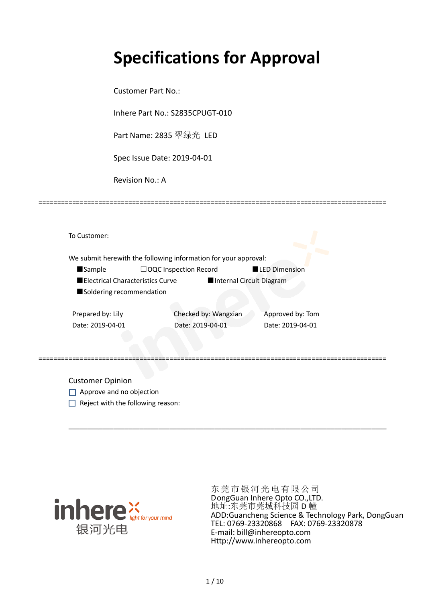# **Specifications for Approval**

Customer Part No.:

Inhere Part No.: S2835CPUGT-010

Part Name: 2835 翠绿光 LED

Spec Issue Date: 2019-04-01

Revision No.: A

|                          | We submit herewith the following information for your approval: |                          |
|--------------------------|-----------------------------------------------------------------|--------------------------|
| <b>Sample</b>            | $\Box$ OQC Inspection Record                                    | <b>LED Dimension</b>     |
|                          | Electrical Characteristics Curve                                | Internal Circuit Diagram |
| Soldering recommendation |                                                                 |                          |
| Prepared by: Lily        | Checked by: Wangxian                                            | Approved by: Tom         |
| Date: 2019-04-01         | Date: 2019-04-01                                                | Date: 2019-04-01         |

\_\_\_\_\_\_\_\_\_\_\_\_\_\_\_\_\_\_\_\_\_\_\_\_\_\_\_\_\_\_\_\_\_\_\_\_\_\_\_\_\_\_\_\_\_\_\_\_\_\_\_\_\_\_\_\_\_\_\_\_\_\_\_\_\_\_\_\_\_\_\_\_\_\_\_\_\_\_\_\_\_\_\_\_\_

=============================================================================================

Customer Opinion

- Approve and no objection
- $\Box$  Reject with the following reason:



东莞市银河光电有限公司 DongGuan Inhere Opto CO.,LTD. 地址:东莞市莞城科技园 D 幢 ADD:Guancheng Science & Technology Park, DongGuan TEL: 0769-23320868 FAX: 0769-23320878 E-mail: bill@inhereopto.com Http://www.inhereopto.com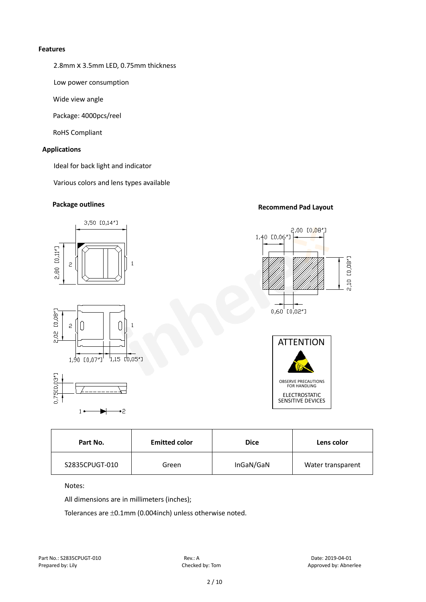#### **Features**

2.8mm x 3.5mm LED, 0.75mm thickness

Low power consumption

Wide view angle

Package: 4000pcs/reel

RoHS Compliant

#### **Applications**

Ideal for back light and indicator

Various colors and lens types available

## **Package outlines Recommend Pad Layout**



| Part No.       | <b>Emitted color</b> | <b>Dice</b> | Lens color        |
|----------------|----------------------|-------------|-------------------|
| S2835CPUGT-010 | Green                | InGaN/GaN   | Water transparent |

Notes:

All dimensions are in millimeters (inches);

Tolerances are ±0.1mm (0.004inch) unless otherwise noted.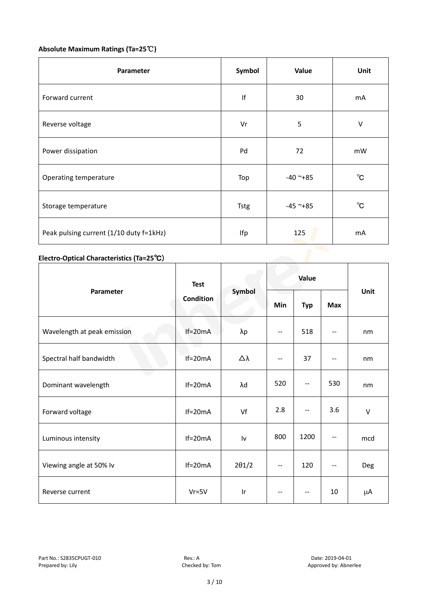### **Absolute Maximum Ratings (Ta=25**℃**)**

| Parameter                               | Symbol      | Value         | Unit           |
|-----------------------------------------|-------------|---------------|----------------|
| Forward current                         | $\sf lf$    | 30            | mA             |
| Reverse voltage                         | Vr          | 5             | $\vee$         |
| Power dissipation                       | Pd          | 72            | mW             |
| Operating temperature                   | Top         | $-40$ ~+85    | $^{\circ}$ C   |
| Storage temperature                     | <b>Tstg</b> | $-45$ ~ $+85$ | $^{\circ}C$    |
| Peak pulsing current (1/10 duty f=1kHz) | Ifp         | 125           | m <sub>A</sub> |

#### **Electro-Optical Characteristics (Ta=25**℃)

|                             | <b>Test</b><br><b>Condition</b> | Symbol                  | Value                    |                          |            |        |
|-----------------------------|---------------------------------|-------------------------|--------------------------|--------------------------|------------|--------|
| Parameter                   |                                 |                         | Min                      | <b>Typ</b>               | <b>Max</b> | Unit   |
| Wavelength at peak emission | $If=20mA$                       | $\lambda p$             | $\overline{\phantom{a}}$ | 518                      | $-$        | nm     |
| Spectral half bandwidth     | e a<br>$If=20mA$                | Δλ                      | $- -$                    | 37                       | --         | nm     |
| Dominant wavelength         | $If=20mA$                       | λd                      | 520                      | $- -$                    | 530        | nm     |
| Forward voltage             | $If=20mA$                       | Vf                      | 2.8                      | $- -$                    | 3.6        | $\vee$ |
| Luminous intensity          | $If=20mA$                       | Iv                      | 800                      | 1200                     | --         | mcd    |
| Viewing angle at 50% lv     | $If=20mA$                       | $2\theta$ 1/2           | $- -$                    | 120                      | --         | Deg    |
| Reverse current             | $Vr = 5V$                       | $\mathsf{I} \mathsf{r}$ | --                       | $\overline{\phantom{a}}$ | 10         | μA     |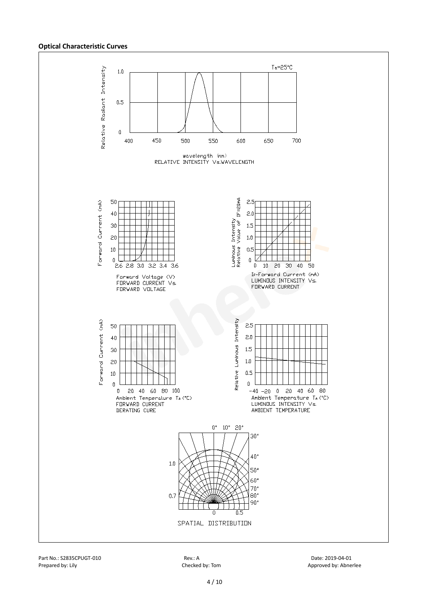#### **Optical Characteristic Curves**

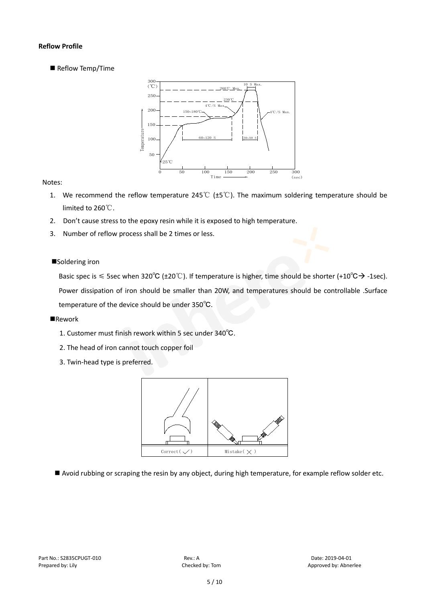#### **Reflow Profile**

Reflow Temp/Time



#### Notes:

- 1. We recommend the reflow temperature 245℃ (±5℃). The maximum soldering temperature should be limited to 260℃.
- 2. Don't cause stress to the epoxy resin while it is exposed to high temperature.
- 3. Number of reflow process shall be 2 times or less.

#### ■Soldering iron

Basic spec is  $\leq$  5sec when 320°C (±20°C). If temperature is higher, time should be shorter (+10°C $\rightarrow$ -1sec). Power dissipation of iron should be smaller than 20W, and temperatures should be controllable .Surface temperature of the device should be under 350℃.

#### **Rework**

- 1. Customer must finish rework within 5 sec under 340℃.
- 2. The head of iron cannot touch copper foil
- 3. Twin-head type is preferred.



Avoid rubbing or scraping the resin by any object, during high temperature, for example reflow solder etc.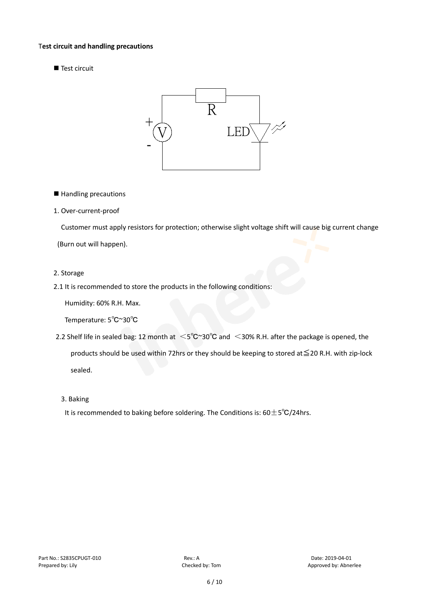#### T**est circuit and handling precautions**

Test circuit



■ Handling precautions

#### 1. Over-current-proof

Customer must apply resistors for protection; otherwise slight voltage shift will cause big current change

(Burn out will happen).

#### 2. Storage

2.1 It is recommended to store the products in the following conditions:

Humidity: 60% R.H. Max.

Temperature: 5℃~30℃

- 2.2 Shelf life in sealed bag: 12 month at <5℃~30°C and <30% R.H. after the package is opened, the products should be used within 72hrs or they should be keeping to stored at≦20 R.H. with zip-lock sealed.
	- 3. Baking

It is recommended to baking before soldering. The Conditions is:  $60±5°C/24$ hrs.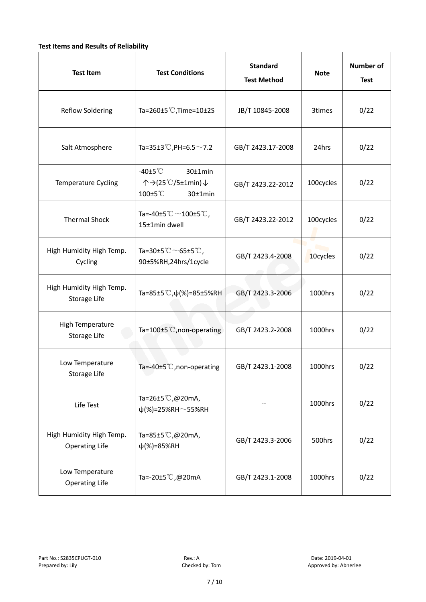#### **Test Items and Results of Reliability**

| <b>Test Item</b>                                  | <b>Test Conditions</b>                                                         | <b>Standard</b><br><b>Test Method</b> | <b>Note</b> | <b>Number of</b><br><b>Test</b> |
|---------------------------------------------------|--------------------------------------------------------------------------------|---------------------------------------|-------------|---------------------------------|
| <b>Reflow Soldering</b>                           | Ta=260 $\pm$ 5 °C, Time=10 $\pm$ 2S                                            | JB/T 10845-2008                       | 3times      | 0/22                            |
| Salt Atmosphere                                   | Ta=35±3°C, PH=6.5 $\sim$ 7.2                                                   | GB/T 2423.17-2008                     | 24hrs       | 0/22                            |
| Temperature Cycling                               | -40 $±5^{\circ}$ C<br>$30±1$ min<br>个→(25℃/5±1min)↓<br>100±5°C<br>$30±1$ min   | GB/T 2423.22-2012                     | 100cycles   | 0/22                            |
| <b>Thermal Shock</b>                              | Ta=-40±5 $\degree \text{C}$ $\sim$ 100±5 $\degree \text{C}$ ,<br>15±1min dwell | GB/T 2423.22-2012                     | 100cycles   | 0/22                            |
| High Humidity High Temp.<br>Cycling               | Ta=30±5 °C $\sim$ 65±5 °C,<br>90±5%RH,24hrs/1cycle                             | GB/T 2423.4-2008                      | 10cycles    | 0/22                            |
| High Humidity High Temp.<br>Storage Life          | Ta=85±5 °C, $\psi$ (%)=85±5%RH                                                 | GB/T 2423.3-2006                      | 1000hrs     | 0/22                            |
| High Temperature<br><b>Storage Life</b>           | Ta=100±5°C, non-operating                                                      | GB/T 2423.2-2008                      | 1000hrs     | 0/22                            |
| Low Temperature<br>Storage Life                   | Ta=-40±5℃, non-operating                                                       | GB/T 2423.1-2008                      | 1000hrs     | 0/22                            |
| Life Test                                         | Ta=26±5℃,@20mA,<br>$\psi$ (%)=25%RH~55%RH                                      |                                       | 1000hrs     | 0/22                            |
| High Humidity High Temp.<br><b>Operating Life</b> | Ta=85±5 $\degree$ C, @20mA,<br>$\psi$ (%)=85%RH                                | GB/T 2423.3-2006                      | 500hrs      | 0/22                            |
| Low Temperature<br><b>Operating Life</b>          | Ta=-20±5℃,@20mA                                                                | GB/T 2423.1-2008                      | 1000hrs     | 0/22                            |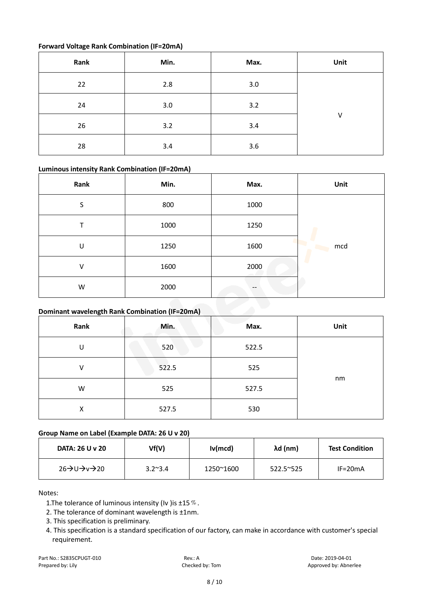#### **Forward Voltage Rank Combination (IF=20mA)**

| Rank | Min. | Max. | Unit |
|------|------|------|------|
| 22   | 2.8  | 3.0  |      |
| 24   | 3.0  | 3.2  |      |
| 26   | 3.2  | 3.4  | V    |
| 28   | 3.4  | 3.6  |      |

#### **Luminous intensity Rank Combination (IF=20mA)**

| Rank | Min. | Max. | Unit |
|------|------|------|------|
| S    | 800  | 1000 |      |
|      | 1000 | 1250 |      |
| U    | 1250 | 1600 | mcd  |
| v    | 1600 | 2000 |      |
| W    | 2000 | $-$  |      |

### **Dominant wavelength Rank Combination (IF=20mA)**

| Rank | Min.  | Max.  | Unit |
|------|-------|-------|------|
| U    | 520   | 522.5 |      |
| V    | 522.5 | 525   |      |
| W    | 525   | 527.5 | nm   |
| X    | 527.5 | 530   |      |

#### **Group Name on Label (Example DATA: 26 U v 20)**

| DATA: 26 U v 20 | Vf(V)           | Iv(mcd)   | $\lambda$ d (nm)  | <b>Test Condition</b> |
|-----------------|-----------------|-----------|-------------------|-----------------------|
| 26→U→v→20       | $3.2^{\sim}3.4$ | 1250~1600 | $522.5^{\sim}525$ | $IF=20mA$             |

Notes:

1. The tolerance of luminous intensity (Iv ) is  $\pm 15\%$ .

2. The tolerance of dominant wavelength is ±1nm.

- 3. This specification is preliminary.
- 4. This specification is a standard specification of our factory, can make in accordance with customer's special requirement.

Part No.: S2835CPUGT-010 Rev.: A Rev.: A Date: 2019-04-01 Prepared by: Lily Checked by: Tom Checked by: Tom Approved by: Abnerlee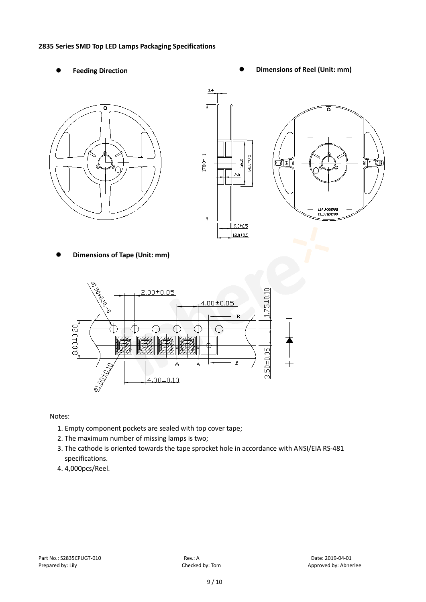#### **2835 Series SMD Top LED Lamps Packaging Specifications**

- 
- Feeding Direction **Constanting Construction Constanting Operations Construction Constanting Construction Constanting Construction**







**Dimensions of Tape (Unit: mm)**



Notes:

- 1. Empty component pockets are sealed with top cover tape;
- 2. The maximum number of missing lamps is two;
- 3. The cathode is oriented towards the tape sprocket hole in accordance with ANSI/EIA RS-481 specifications.
- 4. 4,000pcs/Reel.